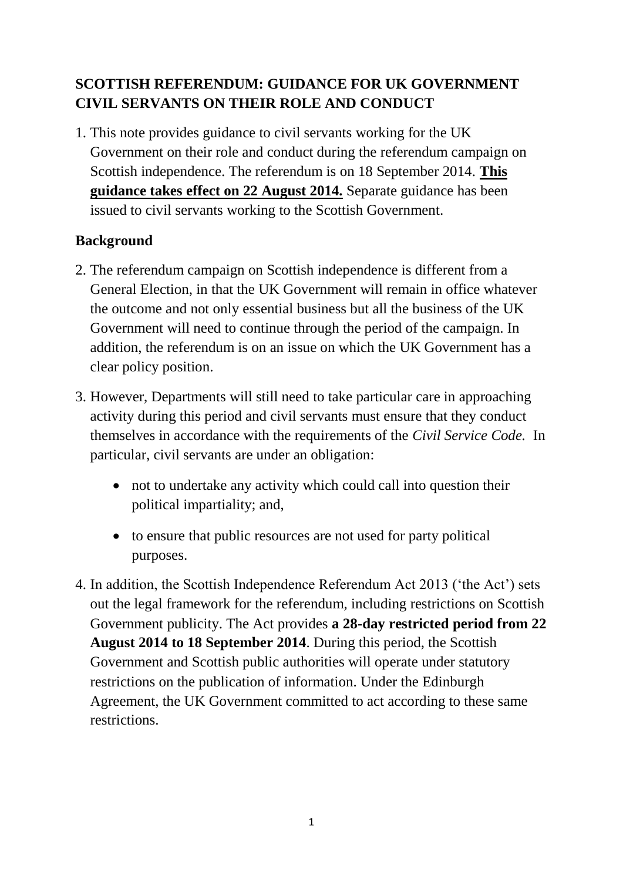# **SCOTTISH REFERENDUM: GUIDANCE FOR UK GOVERNMENT CIVIL SERVANTS ON THEIR ROLE AND CONDUCT**

1. This note provides guidance to civil servants working for the UK Government on their role and conduct during the referendum campaign on Scottish independence. The referendum is on 18 September 2014. **This guidance takes effect on 22 August 2014.** Separate guidance has been issued to civil servants working to the Scottish Government.

## **Background**

- 2. The referendum campaign on Scottish independence is different from a General Election, in that the UK Government will remain in office whatever the outcome and not only essential business but all the business of the UK Government will need to continue through the period of the campaign. In addition, the referendum is on an issue on which the UK Government has a clear policy position.
- 3. However, Departments will still need to take particular care in approaching activity during this period and civil servants must ensure that they conduct themselves in accordance with the requirements of the *Civil Service Code.* In particular, civil servants are under an obligation:
	- not to undertake any activity which could call into question their political impartiality; and,
	- to ensure that public resources are not used for party political purposes.
- 4. In addition, the Scottish Independence Referendum Act 2013 ('the Act') sets out the legal framework for the referendum, including restrictions on Scottish Government publicity. The Act provides **a 28-day restricted period from 22 August 2014 to 18 September 2014**. During this period, the Scottish Government and Scottish public authorities will operate under statutory restrictions on the publication of information. Under the Edinburgh Agreement, the UK Government committed to act according to these same restrictions.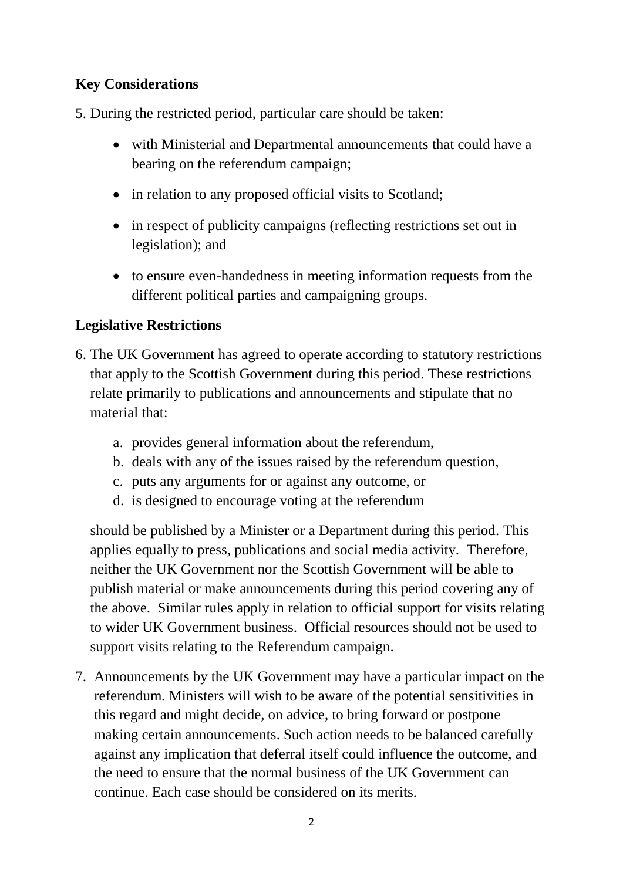## **Key Considerations**

5. During the restricted period, particular care should be taken:

- with Ministerial and Departmental announcements that could have a bearing on the referendum campaign;
- in relation to any proposed official visits to Scotland;
- in respect of publicity campaigns (reflecting restrictions set out in legislation); and
- to ensure even-handedness in meeting information requests from the different political parties and campaigning groups.

## **Legislative Restrictions**

- 6. The UK Government has agreed to operate according to statutory restrictions that apply to the Scottish Government during this period. These restrictions relate primarily to publications and announcements and stipulate that no material that:
	- a. provides general information about the referendum,
	- b. deals with any of the issues raised by the referendum question,
	- c. puts any arguments for or against any outcome, or
	- d. is designed to encourage voting at the referendum

should be published by a Minister or a Department during this period. This applies equally to press, publications and social media activity. Therefore, neither the UK Government nor the Scottish Government will be able to publish material or make announcements during this period covering any of the above. Similar rules apply in relation to official support for visits relating to wider UK Government business. Official resources should not be used to support visits relating to the Referendum campaign.

7. Announcements by the UK Government may have a particular impact on the referendum. Ministers will wish to be aware of the potential sensitivities in this regard and might decide, on advice, to bring forward or postpone making certain announcements. Such action needs to be balanced carefully against any implication that deferral itself could influence the outcome, and the need to ensure that the normal business of the UK Government can continue. Each case should be considered on its merits.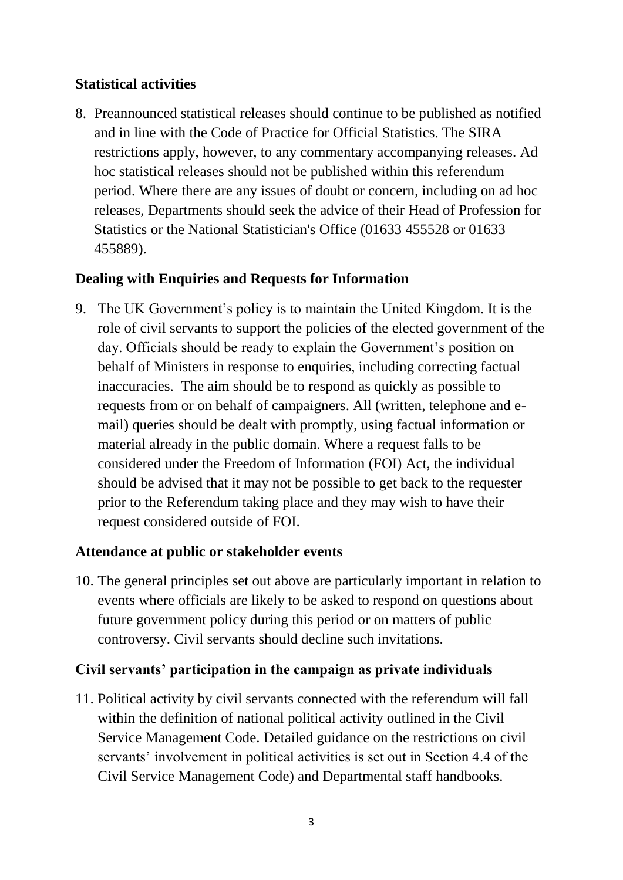### **Statistical activities**

8. Preannounced statistical releases should continue to be published as notified and in line with the Code of Practice for Official Statistics. The SIRA restrictions apply, however, to any commentary accompanying releases. Ad hoc statistical releases should not be published within this referendum period. Where there are any issues of doubt or concern, including on ad hoc releases, Departments should seek the advice of their Head of Profession for Statistics or the National Statistician's Office (01633 455528 or 01633 455889).

## **Dealing with Enquiries and Requests for Information**

9. The UK Government's policy is to maintain the United Kingdom. It is the role of civil servants to support the policies of the elected government of the day. Officials should be ready to explain the Government's position on behalf of Ministers in response to enquiries, including correcting factual inaccuracies. The aim should be to respond as quickly as possible to requests from or on behalf of campaigners. All (written, telephone and email) queries should be dealt with promptly, using factual information or material already in the public domain. Where a request falls to be considered under the Freedom of Information (FOI) Act, the individual should be advised that it may not be possible to get back to the requester prior to the Referendum taking place and they may wish to have their request considered outside of FOI.

### **Attendance at public or stakeholder events**

10. The general principles set out above are particularly important in relation to events where officials are likely to be asked to respond on questions about future government policy during this period or on matters of public controversy. Civil servants should decline such invitations.

### **Civil servants' participation in the campaign as private individuals**

11. Political activity by civil servants connected with the referendum will fall within the definition of national political activity outlined in the Civil Service Management Code. Detailed guidance on the restrictions on civil servants' involvement in political activities is set out in Section 4.4 of the Civil Service Management Code) and Departmental staff handbooks.